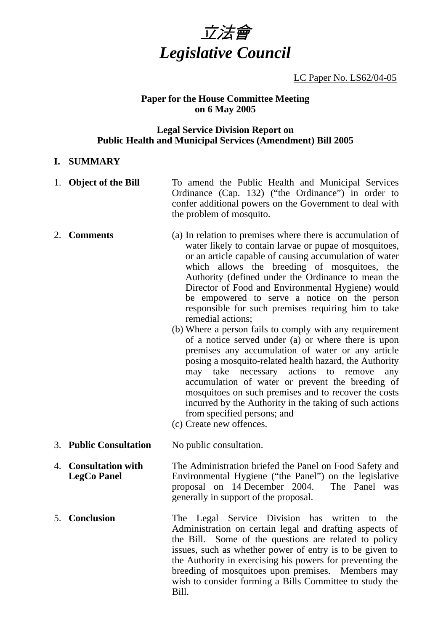

## LC Paper No. LS62/04-05

#### **Paper for the House Committee Meeting on 6 May 2005**

#### **Legal Service Division Report on Public Health and Municipal Services (Amendment) Bill 2005**

#### **I. SUMMARY**

- 1. **Object of the Bill** To amend the Public Health and Municipal Services Ordinance (Cap. 132) ("the Ordinance") in order to confer additional powers on the Government to deal with the problem of mosquito.
- 2. **Comments** (a) In relation to premises where there is accumulation of water likely to contain larvae or pupae of mosquitoes, or an article capable of causing accumulation of water which allows the breeding of mosquitoes, the Authority (defined under the Ordinance to mean the Director of Food and Environmental Hygiene) would be empowered to serve a notice on the person responsible for such premises requiring him to take remedial actions;
	- (b) Where a person fails to comply with any requirement of a notice served under  $(a)$  or where there is upon premises any accumulation of water or any article posing a mosquito-related health hazard, the Authority may take necessary actions to remove any accumulation of water or prevent the breeding of mosquitoes on such premises and to recover the costs incurred by the Authority in the taking of such actions from specified persons; and
	- (c) Create new offences.
- 3. **Public Consultation** No public consultation.
- 4. **Consultation with LegCo Panel**  The Administration briefed the Panel on Food Safety and Environmental Hygiene ("the Panel") on the legislative proposal on 14 December 2004. The Panel was generally in support of the proposal.
- 5. **Conclusion** The Legal Service Division has written to the Administration on certain legal and drafting aspects of the Bill. Some of the questions are related to policy issues, such as whether power of entry is to be given to the Authority in exercising his powers for preventing the breeding of mosquitoes upon premises. Members may wish to consider forming a Bills Committee to study the Bill.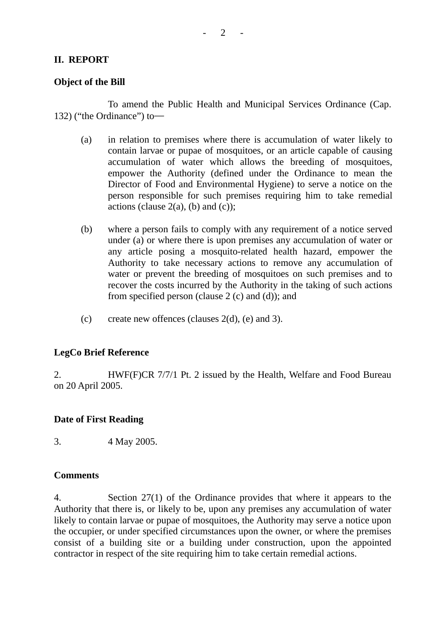## **II. REPORT**

#### **Object of the Bill**

1. To amend the Public Health and Municipal Services Ordinance (Cap. 132) ("the Ordinance") to―

- (a) in relation to premises where there is accumulation of water likely to contain larvae or pupae of mosquitoes, or an article capable of causing accumulation of water which allows the breeding of mosquitoes, empower the Authority (defined under the Ordinance to mean the Director of Food and Environmental Hygiene) to serve a notice on the person responsible for such premises requiring him to take remedial actions (clause  $2(a)$ , (b) and (c));
- (b) where a person fails to comply with any requirement of a notice served under (a) or where there is upon premises any accumulation of water or any article posing a mosquito-related health hazard, empower the Authority to take necessary actions to remove any accumulation of water or prevent the breeding of mosquitoes on such premises and to recover the costs incurred by the Authority in the taking of such actions from specified person (clause 2 (c) and (d)); and
- (c) create new offences (clauses  $2(d)$ , (e) and 3).

## **LegCo Brief Reference**

2. HWF(F)CR 7/7/1 Pt. 2 issued by the Health, Welfare and Food Bureau on 20 April 2005.

## **Date of First Reading**

3. 4 May 2005.

## **Comments**

4. Section 27(1) of the Ordinance provides that where it appears to the Authority that there is, or likely to be, upon any premises any accumulation of water likely to contain larvae or pupae of mosquitoes, the Authority may serve a notice upon the occupier, or under specified circumstances upon the owner, or where the premises consist of a building site or a building under construction, upon the appointed contractor in respect of the site requiring him to take certain remedial actions.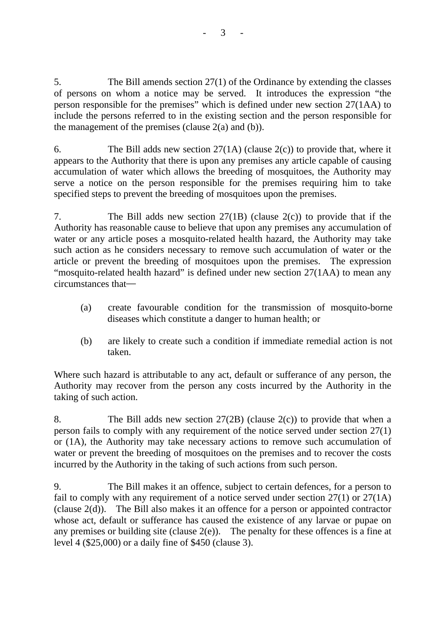5. The Bill amends section 27(1) of the Ordinance by extending the classes of persons on whom a notice may be served. It introduces the expression "the person responsible for the premises" which is defined under new section 27(1AA) to include the persons referred to in the existing section and the person responsible for the management of the premises (clause  $2(a)$  and (b)).

6. The Bill adds new section  $27(1A)$  (clause  $2(c)$ ) to provide that, where it appears to the Authority that there is upon any premises any article capable of causing accumulation of water which allows the breeding of mosquitoes, the Authority may serve a notice on the person responsible for the premises requiring him to take specified steps to prevent the breeding of mosquitoes upon the premises.

7. The Bill adds new section 27(1B) (clause 2(c)) to provide that if the Authority has reasonable cause to believe that upon any premises any accumulation of water or any article poses a mosquito-related health hazard, the Authority may take such action as he considers necessary to remove such accumulation of water or the article or prevent the breeding of mosquitoes upon the premises. The expression "mosquito-related health hazard" is defined under new section 27(1AA) to mean any circumstances that―

- (a) create favourable condition for the transmission of mosquito-borne diseases which constitute a danger to human health; or
- (b) are likely to create such a condition if immediate remedial action is not taken.

Where such hazard is attributable to any act, default or sufferance of any person, the Authority may recover from the person any costs incurred by the Authority in the taking of such action.

8. The Bill adds new section  $27(2B)$  (clause  $2(c)$ ) to provide that when a person fails to comply with any requirement of the notice served under section 27(1) or (1A), the Authority may take necessary actions to remove such accumulation of water or prevent the breeding of mosquitoes on the premises and to recover the costs incurred by the Authority in the taking of such actions from such person.

9. The Bill makes it an offence, subject to certain defences, for a person to fail to comply with any requirement of a notice served under section 27(1) or 27(1A) (clause 2(d)). The Bill also makes it an offence for a person or appointed contractor whose act, default or sufferance has caused the existence of any larvae or pupae on any premises or building site (clause  $2(e)$ ). The penalty for these offences is a fine at level 4 (\$25,000) or a daily fine of \$450 (clause 3).

- 3 -